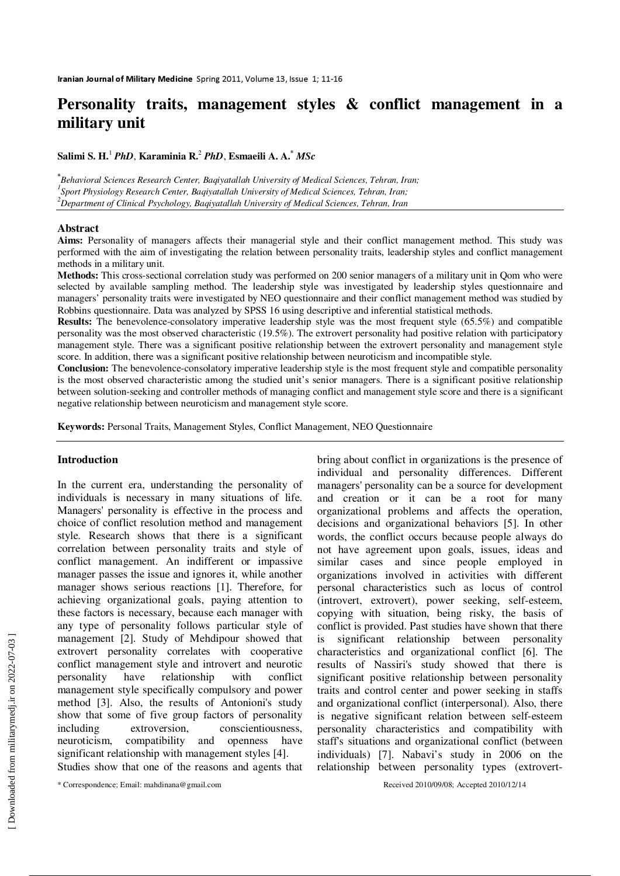# **Personality traits, management styles & conflict management in a military unit**

**Salimi S. H.**<sup>1</sup>  *PhD*, **Karaminia R.**<sup>2</sup> *PhD*, **Esmaeili A. A.\*** *MSc*

**\*** *Behavioral Sciences Research Center, Baqiyatallah University of Medical Sciences, Tehran, Iran; 1 Sport Physiology Research Center, Baqiyatallah University of Medical Sciences, Tehran, Iran; <sup>2</sup>Department of Clinical Psychology, Baqiyatallah University of Medical Sciences, Tehran, Iran*

#### **Abstract**

**Aims:** Personality of managers affects their managerial style and their conflict management method. This study was performed with the aim of investigating the relation between personality traits, leadership styles and conflict management methods in a military unit.

**Methods:** This cross-sectional correlation study was performed on 200 senior managers of a military unit in Qom who were selected by available sampling method. The leadership style was investigated by leadership styles questionnaire and managers' personality traits were investigated by NEO questionnaire and their conflict management method was studied by Robbins questionnaire. Data was analyzed by SPSS 16 using descriptive and inferential statistical methods.

**Results:** The benevolence-consolatory imperative leadership style was the most frequent style (65.5%) and compatible personality was the most observed characteristic (19.5%). The extrovert personality had positive relation with participatory management style. There was a significant positive relationship between the extrovert personality and management style score. In addition, there was a significant positive relationship between neuroticism and incompatible style.

**Conclusion:** The benevolence-consolatory imperative leadership style is the most frequent style and compatible personality is the most observed characteristic among the studied unit's senior managers. There is a significant positive relationship between solution-seeking and controller methods of managing conflict and management style score and there is a significant negative relationship between neuroticism and management style score.

**Keywords:** Personal Traits, Management Styles, Conflict Management, NEO Questionnaire

## **Introduction**

In the current era, understanding the personality of individuals is necessary in many situations of life. Managers' personality is effective in the process and choice of conflict resolution method and management style. Research shows that there is a significant correlation between personality traits and style of conflict management. An indifferent or impassive manager passes the issue and ignores it, while another manager shows serious reactions [1]. Therefore, for achieving organizational goals, paying attention to these factors is necessary, because each manager with any type of personality follows particular style of management [2]. Study of Mehdipour showed that extrovert personality correlates with cooperative conflict management style and introvert and neurotic personality have relationship with conflict management style specifically compulsory and power method [3]. Also, the results of Antonioni's study show that some of five group factors of personality including extroversion, conscientiousness, neuroticism, compatibility and openness have significant relationship with management styles [4]. Studies show that one of the reasons and agents that bring about conflict in organizations is the presence of individual and personality differences. Different managers' personality can be a source for development and creation or it can be a root for many organizational problems and affects the operation, decisions and organizational behaviors [5]. In other words, the conflict occurs because people always do not have agreement upon goals, issues, ideas and similar cases and since people employed in organizations involved in activities with different personal characteristics such as locus of control (introvert, extrovert), power seeking, self-esteem, copying with situation, being risky, the basis of conflict is provided. Past studies have shown that there is significant relationship between personality characteristics and organizational conflict [6]. The results of Nassiri's study showed that there is significant positive relationship between personality traits and control center and power seeking in staffs and organizational conflict (interpersonal). Also, there is negative significant relation between self-esteem personality characteristics and compatibility with staff's situations and organizational conflict (between individuals) [7]. Nabavi's study in 2006 on the relationship between personality types (extrovert-

<sup>\*</sup> Correspondence; Email: mahdinana@gmail.com Received 2010/09/08; Accepted 2010/12/14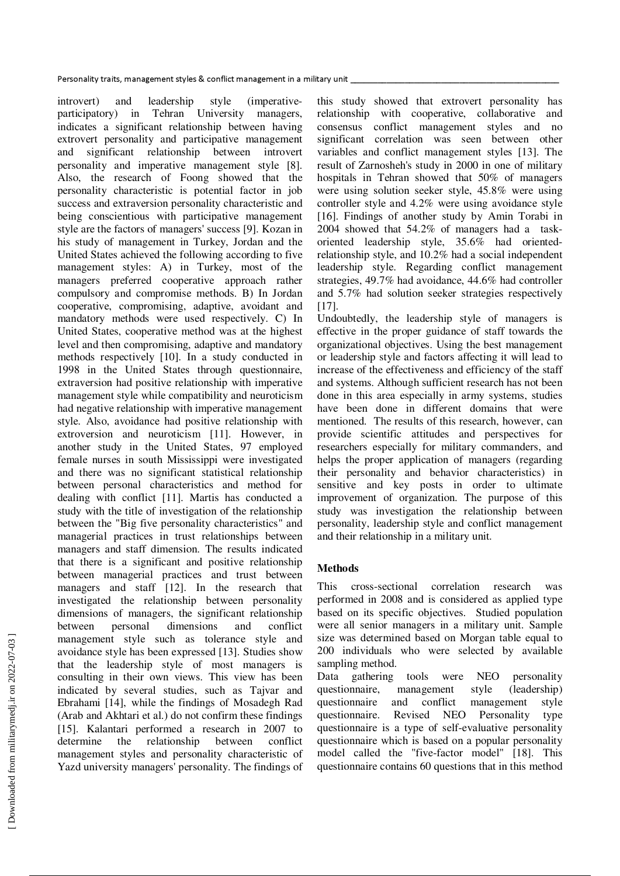introvert) and leadership style (imperativeparticipatory) in Tehran University managers, indicates a significant relationship between having extrovert personality and participative management and significant relationship between introvert personality and imperative management style [8]. Also, the research of Foong showed that the personality characteristic is potential factor in job success and extraversion personality characteristic and being conscientious with participative management style are the factors of managers' success [9]. Kozan in his study of management in Turkey, Jordan and the United States achieved the following according to five management styles: A) in Turkey, most of the managers preferred cooperative approach rather compulsory and compromise methods. B) In Jordan cooperative, compromising, adaptive, avoidant and mandatory methods were used respectively. C) In United States, cooperative method was at the highest level and then compromising, adaptive and mandatory methods respectively [10]. In a study conducted in 1998 in the United States through questionnaire, extraversion had positive relationship with imperative management style while compatibility and neuroticism had negative relationship with imperative management style. Also, avoidance had positive relationship with extroversion and neuroticism [11]. However, in another study in the United States, 97 employed female nurses in south Mississippi were investigated and there was no significant statistical relationship between personal characteristics and method for dealing with conflict [11]. Martis has conducted a study with the title of investigation of the relationship between the "Big five personality characteristics" and managerial practices in trust relationships between managers and staff dimension. The results indicated that there is a significant and positive relationship between managerial practices and trust between managers and staff [12]. In the research that investigated the relationship between personality dimensions of managers, the significant relationship between personal dimensions and conflict management style such as tolerance style and avoidance style has been expressed [13]. Studies show that the leadership style of most managers is consulting in their own views. This view has been indicated by several studies, such as Tajvar and Ebrahami [14], while the findings of Mosadegh Rad (Arab and Akhtari et al.) do not confirm these findings [15]. Kalantari performed a research in 2007 to determine the relationship between conflict management styles and personality characteristic of Yazd university managers' personality. The findings of

this study showed that extrovert personality has relationship with cooperative, collaborative and consensus conflict management styles and no significant correlation was seen between other variables and conflict management styles [13]. The result of Zarnosheh's study in 2000 in one of military hospitals in Tehran showed that 50% of managers were using solution seeker style, 45.8% were using controller style and 4.2% were using avoidance style [16]. Findings of another study by Amin Torabi in 2004 showed that 54.2% of managers had a taskoriented leadership style, 35.6% had orientedrelationship style, and 10.2% had a social independent leadership style. Regarding conflict management strategies, 49.7% had avoidance, 44.6% had controller and 5.7% had solution seeker strategies respectively [17].

Undoubtedly, the leadership style of managers is effective in the proper guidance of staff towards the organizational objectives. Using the best management or leadership style and factors affecting it will lead to increase of the effectiveness and efficiency of the staff and systems. Although sufficient research has not been done in this area especially in army systems, studies have been done in different domains that were mentioned. The results of this research, however, can provide scientific attitudes and perspectives for researchers especially for military commanders, and helps the proper application of managers (regarding their personality and behavior characteristics) in sensitive and key posts in order to ultimate improvement of organization. The purpose of this study was investigation the relationship between personality, leadership style and conflict management and their relationship in a military unit.

## **Methods**

This cross-sectional correlation research was performed in 2008 and is considered as applied type based on its specific objectives. Studied population were all senior managers in a military unit. Sample size was determined based on Morgan table equal to 200 individuals who were selected by available sampling method.

Data gathering tools were NEO personality<br>questionnaire, management style (leadershin) questionnaire, management style questionnaire and conflict management style questionnaire. Revised NEO Personality type questionnaire is a type of self-evaluative personality questionnaire which is based on a popular personality model called the "five-factor model" [18]. This questionnaire contains 60 questions that in this method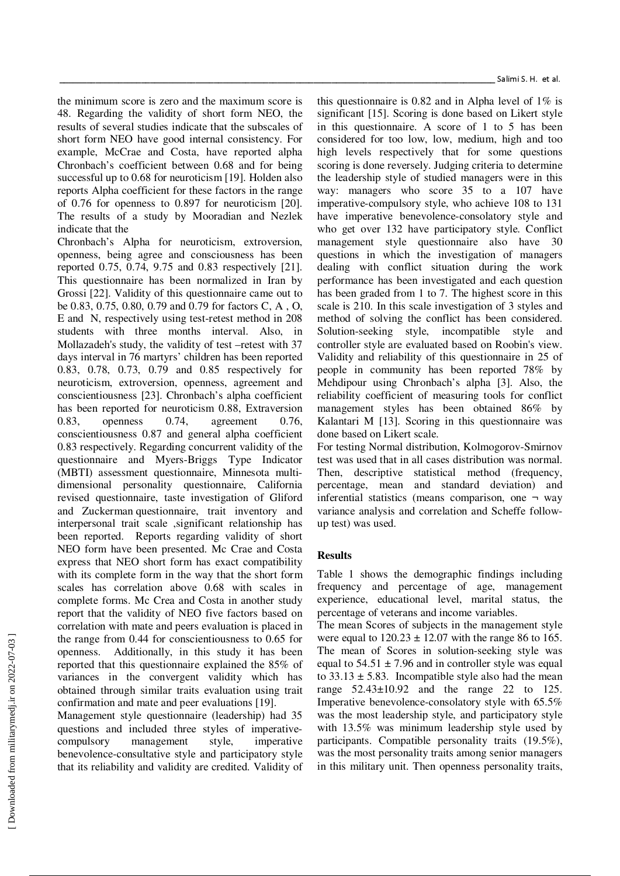the minimum score is zero and the maximum score is 48. Regarding the validity of short form NEO, the results of several studies indicate that the subscales of short form NEO have good internal consistency. For example, McCrae and Costa, have reported alpha Chronbach's coefficient between 0.68 and for being successful up to 0.68 for neuroticism [19]. Holden also reports Alpha coefficient for these factors in the range of 0.76 for openness to 0.897 for neuroticism [20]. The results of a study by Mooradian and Nezlek indicate that the

Chronbach's Alpha for neuroticism, extroversion, openness, being agree and consciousness has been reported 0.75, 0.74, 9.75 and 0.83 respectively [21]. This questionnaire has been normalized in Iran by Grossi [22]. Validity of this questionnaire came out to be 0.83, 0.75, 0.80, 0.79 and 0.79 for factors C, A , O, E and N, respectively using test-retest method in 208 students with three months interval. Also, in Mollazadeh's study, the validity of test –retest with 37 days interval in 76 martyrs' children has been reported 0.83, 0.78, 0.73, 0.79 and 0.85 respectively for neuroticism, extroversion, openness, agreement and conscientiousness [23]. Chronbach's alpha coefficient has been reported for neuroticism 0.88, Extraversion 0.83, openness 0.74, agreement 0.76, conscientiousness 0.87 and general alpha coefficient 0.83 respectively. Regarding concurrent validity of the questionnaire and Myers-Briggs Type Indicator (MBTI) assessment questionnaire, Minnesota multidimensional personality questionnaire, California revised questionnaire, taste investigation of Gliford and Zuckerman questionnaire, trait inventory and interpersonal trait scale ,significant relationship has been reported. Reports regarding validity of short NEO form have been presented. Mc Crae and Costa express that NEO short form has exact compatibility with its complete form in the way that the short form scales has correlation above 0.68 with scales in complete forms. Mc Crea and Costa in another study report that the validity of NEO five factors based on correlation with mate and peers evaluation is placed in the range from 0.44 for conscientiousness to 0.65 for openness. Additionally, in this study it has been reported that this questionnaire explained the 85% of variances in the convergent validity which has obtained through similar traits evaluation using trait confirmation and mate and peer evaluations [19].

Management style questionnaire (leadership) had 35 questions and included three styles of imperativecompulsory management style, imperative benevolence-consultative style and participatory style that its reliability and validity are credited. Validity of

this questionnaire is 0.82 and in Alpha level of 1% is significant [15]. Scoring is done based on Likert style in this questionnaire. A score of 1 to 5 has been considered for too low, low, medium, high and too high levels respectively that for some questions scoring is done reversely. Judging criteria to determine the leadership style of studied managers were in this way: managers who score 35 to a 107 have imperative-compulsory style, who achieve 108 to 131 have imperative benevolence-consolatory style and who get over 132 have participatory style. Conflict management style questionnaire also have questions in which the investigation of managers dealing with conflict situation during the work performance has been investigated and each question has been graded from 1 to 7. The highest score in this scale is 210. In this scale investigation of 3 styles and method of solving the conflict has been considered. Solution-seeking style, incompatible style and controller style are evaluated based on Roobin's view. Validity and reliability of this questionnaire in 25 of people in community has been reported 78% by Mehdipour using Chronbach's alpha [3]. Also, the reliability coefficient of measuring tools for conflict management styles has been obtained 86% by Kalantari M [13]. Scoring in this questionnaire was done based on Likert scale.

For testing Normal distribution, Kolmogorov-Smirnov test was used that in all cases distribution was normal. Then, descriptive statistical method (frequency, percentage, mean and standard deviation) and inferential statistics (means comparison, one  $\neg$  way variance analysis and correlation and Scheffe followup test) was used.

# **Results**

Table 1 shows the demographic findings including frequency and percentage of age, management experience, educational level, marital status, the percentage of veterans and income variables.

The mean Scores of subjects in the management style were equal to  $120.23 \pm 12.07$  with the range 86 to 165. The mean of Scores in solution-seeking style was equal to  $54.51 \pm 7.96$  and in controller style was equal to  $33.13 \pm 5.83$ . Incompatible style also had the mean range 52.43±10.92 and the range 22 to 125. Imperative benevolence-consolatory style with 65.5% was the most leadership style, and participatory style with 13.5% was minimum leadership style used by participants. Compatible personality traits (19.5%), was the most personality traits among senior managers in this military unit. Then openness personality traits,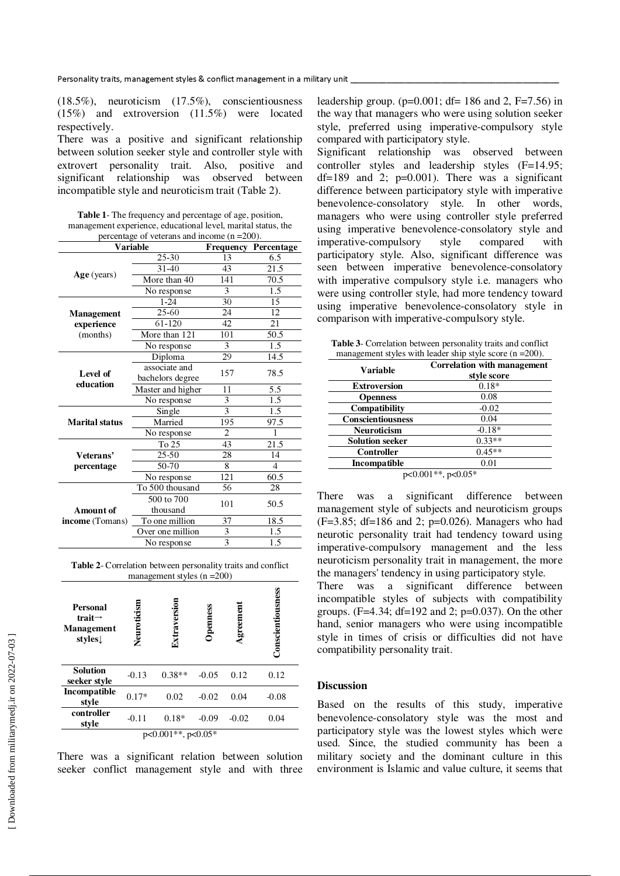(18.5%), neuroticism (17.5%), conscientiousness (15%) and extroversion (11.5%) were located respectively.

There was a positive and significant relationship between solution seeker style and controller style with extrovert personality trait. Also, positive and significant relationship was observed between incompatible style and neuroticism trait (Table 2).

| <b>Table 1-</b> The frequency and percentage of age, position, |
|----------------------------------------------------------------|
| management experience, educational level, marital status, the  |
| percentage of veterans and income $(n = 200)$ .                |

|                       | <b>Variable</b>                             |                | <b>Frequency Percentage</b> |
|-----------------------|---------------------------------------------|----------------|-----------------------------|
|                       | 25-30                                       | 13             | 6.5                         |
|                       | $31 - 40$                                   | 43             | 21.5                        |
| $Age$ (years)         | More than 40                                | 141            | 70.5                        |
|                       | No response                                 | 3              | 1.5                         |
|                       | $1 - 24$                                    | 30             | 15                          |
| <b>Management</b>     | 25-60                                       | 24             | 12                          |
| experience            | 61-120                                      | 42             | 21                          |
| (months)              | More than 121                               | 101            | 50.5                        |
|                       | No response                                 | 3              |                             |
|                       | Diploma                                     | 29             | 14.5                        |
| Level of              | associate and<br>bachelors degree           | 157            | 78.5                        |
| education             | Master and higher                           | 11             | 5.5                         |
|                       | No response                                 | 3              | 1.5                         |
|                       | Single                                      | $\overline{3}$ | 1.5                         |
| <b>Marital status</b> | Married                                     | 195            | 97.5                        |
|                       | No response                                 | 2              | 1                           |
|                       | To 25                                       | 43             | 21.5                        |
| Veterans'             | $25 - 50$                                   | 28             | 14                          |
| percentage            | 50-70                                       | 8              | 4                           |
|                       | No response                                 | 121            | 60.5                        |
|                       | To 500 thousand                             | 56             | 28                          |
| Amount of             | 500 to 700<br>thousand                      | 101            | 50.5                        |
| income (Tomans)       | To one million                              | 37<br>18.5     |                             |
|                       | $\overline{\mathbf{3}}$<br>Over one million |                | 1.5                         |
|                       | $\overline{3}$<br>No response               |                | 1.5                         |

**Table 2**- Correlation between personality traits and conflict management styles  $(n = 200)$ 

| Personal<br>trait $\rightarrow$<br><b>Management</b><br>styles | Neuroticisn             | Extraversion | <b>Dpenness</b> | $A$ greemen | <b>Conscientiousness</b> |  |
|----------------------------------------------------------------|-------------------------|--------------|-----------------|-------------|--------------------------|--|
| <b>Solution</b><br>seeker style                                | $-0.13$                 | $0.38**$     | $-0.05$         | 0.12        | 0.12                     |  |
| Incompatible<br>style                                          | $0.17*$                 | 0.02         | $-0.02$         | 0.04        | $-0.08$                  |  |
| controller<br>style                                            | $-0.11$                 | $0.18*$      | $-0.09$         | $-0.02$     | 0.04                     |  |
|                                                                | $p<0.001**$ , $p<0.05*$ |              |                 |             |                          |  |

There was a significant relation between solution seeker conflict management style and with three leadership group.  $(p=0.001; df= 186$  and 2, F=7.56) in the way that managers who were using solution seeker style, preferred using imperative-compulsory style compared with participatory style.

Significant relationship was observed between controller styles and leadership styles (F=14.95;  $df=189$  and 2;  $p=0.001$ ). There was a significant difference between participatory style with imperative benevolence-consolatory style. In other words, managers who were using controller style preferred using imperative benevolence-consolatory style and imperative-compulsory style compared with participatory style. Also, significant difference was seen between imperative benevolence-consolatory with imperative compulsory style i.e. managers who were using controller style, had more tendency toward using imperative benevolence-consolatory style in comparison with imperative-compulsory style.

**Table 3**- Correlation between personality traits and conflict management styles with leader ship style score  $(n = 200)$ .

| Variable                 | Correlation with management<br>style score |  |
|--------------------------|--------------------------------------------|--|
| <b>Extroversion</b>      | $0.18*$                                    |  |
| <b>Openness</b>          | 0.08                                       |  |
| <b>Compatibility</b>     | $-0.02$                                    |  |
| <b>Conscientiousness</b> | 0.04                                       |  |
| <b>Neuroticism</b>       | $-0.18*$                                   |  |
| <b>Solution seeker</b>   | $0.33**$                                   |  |
| <b>Controller</b>        | $0.45**$                                   |  |
| Incompatible             | 0.01                                       |  |
| $p<0.001**$ , $p<0.05*$  |                                            |  |

There was a significant difference between management style of subjects and neuroticism groups  $(F=3.85; df=186$  and 2;  $p=0.026$ ). Managers who had neurotic personality trait had tendency toward using imperative-compulsory management and the less neuroticism personality trait in management, the more the managers' tendency in using participatory style.

There was a significant difference between incompatible styles of subjects with compatibility groups. (F=4.34; df=192 and 2; p=0.037). On the other hand, senior managers who were using incompatible style in times of crisis or difficulties did not have compatibility personality trait.

#### **Discussion**

Based on the results of this study, imperative benevolence-consolatory style was the most and participatory style was the lowest styles which were used. Since, the studied community has been a military society and the dominant culture in this environment is Islamic and value culture, it seems that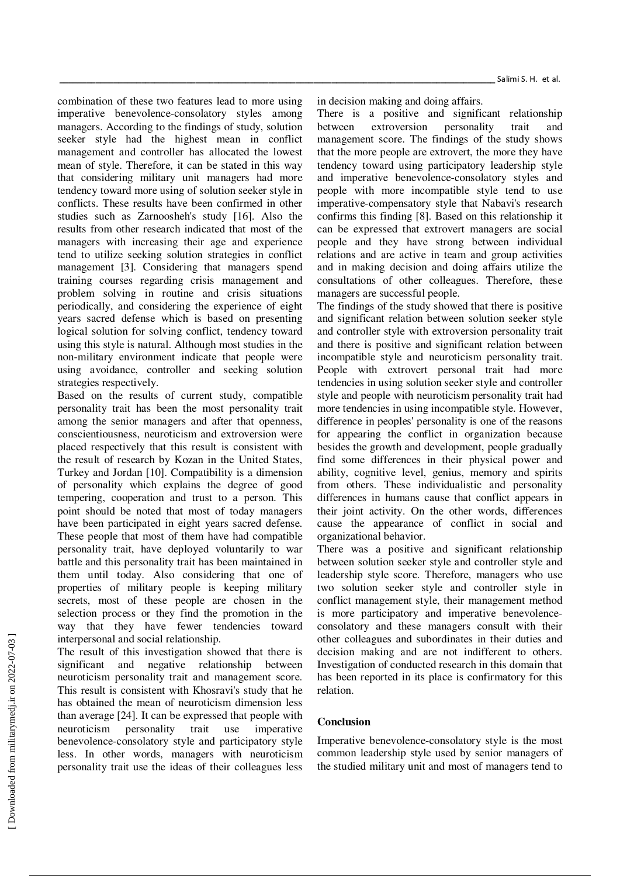Salimi S. H. et al.

combination of these two features lead to more using imperative benevolence-consolatory styles among managers. According to the findings of study, solution seeker style had the highest mean in conflict management and controller has allocated the lowest mean of style. Therefore, it can be stated in this way that considering military unit managers had more tendency toward more using of solution seeker style in conflicts. These results have been confirmed in other studies such as Zarnoosheh's study [16]. Also the results from other research indicated that most of the managers with increasing their age and experience tend to utilize seeking solution strategies in conflict management [3]. Considering that managers spend training courses regarding crisis management and problem solving in routine and crisis situations periodically, and considering the experience of eight years sacred defense which is based on presenting logical solution for solving conflict, tendency toward using this style is natural. Although most studies in the non-military environment indicate that people were using avoidance, controller and seeking solution strategies respectively.

Based on the results of current study, compatible personality trait has been the most personality trait among the senior managers and after that openness, conscientiousness, neuroticism and extroversion were placed respectively that this result is consistent with the result of research by Kozan in the United States, Turkey and Jordan [10]. Compatibility is a dimension of personality which explains the degree of good tempering, cooperation and trust to a person. This point should be noted that most of today managers have been participated in eight years sacred defense. These people that most of them have had compatible personality trait, have deployed voluntarily to war battle and this personality trait has been maintained in them until today. Also considering that one of properties of military people is keeping military secrets, most of these people are chosen in the selection process or they find the promotion in the way that they have fewer tendencies toward interpersonal and social relationship.

The result of this investigation showed that there is significant and negative relationship between neuroticism personality trait and management score. This result is consistent with Khosravi's study that he has obtained the mean of neuroticism dimension less than average [24]. It can be expressed that people with neuroticism personality trait use imperative benevolence-consolatory style and participatory style less. In other words, managers with neuroticism personality trait use the ideas of their colleagues less in decision making and doing affairs.

There is a positive and significant relationship between extroversion personality trait and management score. The findings of the study shows that the more people are extrovert, the more they have tendency toward using participatory leadership style and imperative benevolence-consolatory styles and people with more incompatible style tend to use imperative-compensatory style that Nabavi's research confirms this finding [8]. Based on this relationship it can be expressed that extrovert managers are social people and they have strong between individual relations and are active in team and group activities and in making decision and doing affairs utilize the consultations of other colleagues. Therefore, these managers are successful people.

The findings of the study showed that there is positive and significant relation between solution seeker style and controller style with extroversion personality trait and there is positive and significant relation between incompatible style and neuroticism personality trait. People with extrovert personal trait had more tendencies in using solution seeker style and controller style and people with neuroticism personality trait had more tendencies in using incompatible style. However, difference in peoples' personality is one of the reasons for appearing the conflict in organization because besides the growth and development, people gradually find some differences in their physical power and ability, cognitive level, genius, memory and spirits from others. These individualistic and personality differences in humans cause that conflict appears in their joint activity. On the other words, differences cause the appearance of conflict in social and organizational behavior.

There was a positive and significant relationship between solution seeker style and controller style and leadership style score. Therefore, managers who use two solution seeker style and controller style in conflict management style, their management method is more participatory and imperative benevolenceconsolatory and these managers consult with their other colleagues and subordinates in their duties and decision making and are not indifferent to others. Investigation of conducted research in this domain that has been reported in its place is confirmatory for this relation.

# **Conclusion**

Imperative benevolence-consolatory style is the most common leadership style used by senior managers of the studied military unit and most of managers tend to